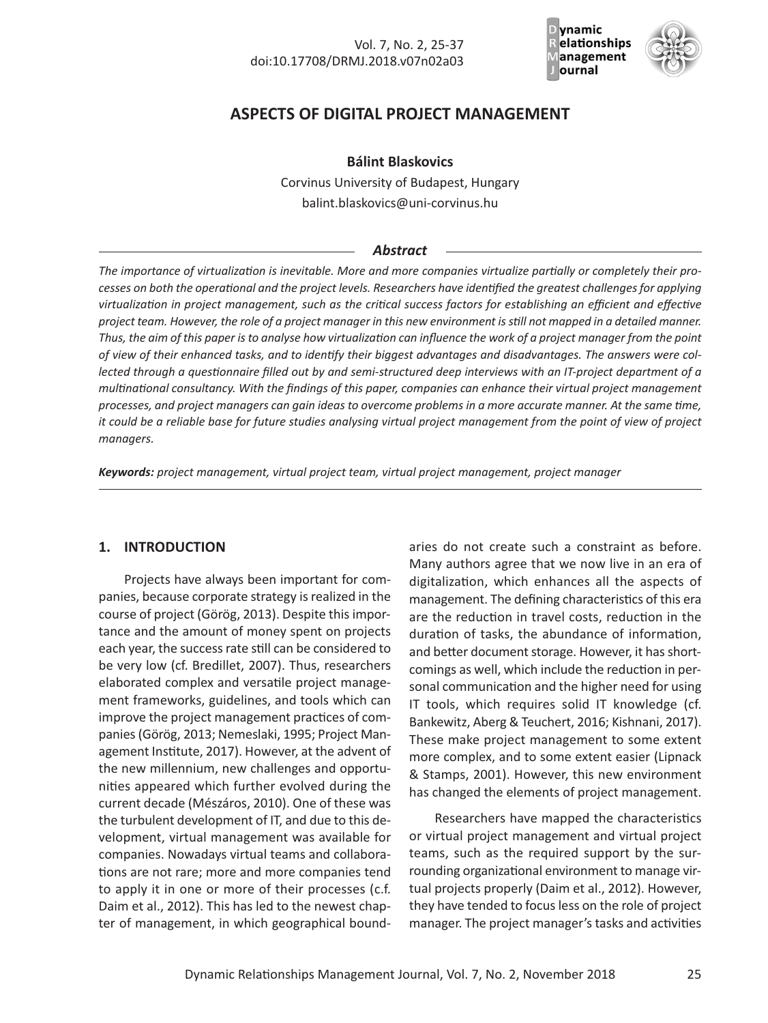

# **ASPECTS OF DIGITAL PROJECT MANAGEMENT**

### **Bálint Blaskovics**

Corvinus University of Budapest, Hungary balint.blaskovics@uni-corvinus.hu

### *Abstract*

*The importance of virtualization is inevitable. More and more companies virtualize partially or completely their processes on both the operational and the project levels. Researchers have identified the greatest challenges for applying virtualization in project management, such as the critical success factors for establishing an efficient and effective project team. However, the role of a project manager in this new environment is still not mapped in a detailed manner. Thus, the aim of this paper is to analyse how virtualization can influence the work of a project manager from the point of view of their enhanced tasks, and to identify their biggest advantages and disadvantages. The answers were collected through a questionnaire filled out by and semi-structured deep interviews with an IT-project department of a multinational consultancy. With the findings of this paper, companies can enhance their virtual project management processes, and project managers can gain ideas to overcome problems in a more accurate manner. At the same time, it could be a reliable base for future studies analysing virtual project management from the point of view of project managers.*

*Keywords: project management, virtual project team, virtual project management, project manager*

### **1. INTRODUCTION**

Projects have always been important for companies, because corporate strategy is realized in the course of project (Görög, 2013). Despite this importance and the amount of money spent on projects each year, the success rate still can be considered to be very low (cf. Bredillet, 2007). Thus, researchers elaborated complex and versatile project management frameworks, guidelines, and tools which can improve the project management practices of companies (Görög, 2013; Nemeslaki, 1995; Project Management Institute, 2017). However, at the advent of the new millennium, new challenges and opportunities appeared which further evolved during the current decade (Mészáros, 2010). One of these was the turbulent development of IT, and due to this development, virtual management was available for companies. Nowadays virtual teams and collaborations are not rare; more and more companies tend to apply it in one or more of their processes (c.f. Daim et al., 2012). This has led to the newest chapter of management, in which geographical boundaries do not create such a constraint as before. Many authors agree that we now live in an era of digitalization, which enhances all the aspects of management. The defining characteristics of this era are the reduction in travel costs, reduction in the duration of tasks, the abundance of information, and better document storage. However, it has shortcomings as well, which include the reduction in personal communication and the higher need for using IT tools, which requires solid IT knowledge (cf. Bankewitz, Aberg & Teuchert, 2016; Kishnani, 2017). These make project management to some extent more complex, and to some extent easier (Lipnack & Stamps, 2001). However, this new environment has changed the elements of project management.

Researchers have mapped the characteristics or virtual project management and virtual project teams, such as the required support by the surrounding organizational environment to manage virtual projects properly (Daim et al., 2012). However, they have tended to focus less on the role of project manager. The project manager's tasks and activities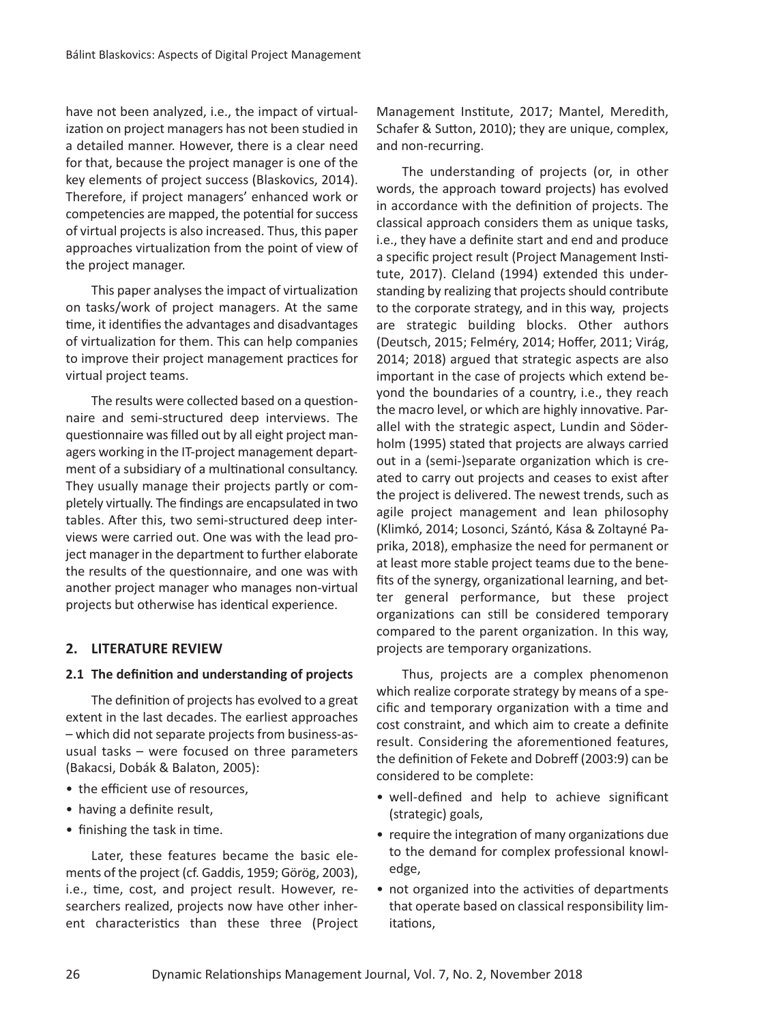have not been analyzed, i.e., the impact of virtualization on project managers has not been studied in a detailed manner. However, there is a clear need for that, because the project manager is one of the key elements of project success (Blaskovics, 2014). Therefore, if project managers' enhanced work or competencies are mapped, the potential for success of virtual projects is also increased. Thus, this paper approaches virtualization from the point of view of the project manager.

This paper analyses the impact of virtualization on tasks/work of project managers. At the same time, it identifies the advantages and disadvantages of virtualization for them. This can help companies to improve their project management practices for virtual project teams.

The results were collected based on a questionnaire and semi-structured deep interviews. The questionnaire was filled out by all eight project managers working in the IT-project management department of a subsidiary of a multinational consultancy. They usually manage their projects partly or completely virtually. The findings are encapsulated in two tables. After this, two semi-structured deep interviews were carried out. One was with the lead project manager in the department to further elaborate the results of the questionnaire, and one was with another project manager who manages non-virtual projects but otherwise has identical experience.

### **2. LITERATURE REVIEW**

### **2.1 The definition and understanding of projects**

The definition of projects has evolved to a great extent in the last decades. The earliest approaches – which did not separate projects from business-asusual tasks – were focused on three parameters (Bakacsi, Dobák & Balaton, 2005):

- the efficient use of resources,
- having a definite result,
- finishing the task in time.

Later, these features became the basic elements of the project (cf. Gaddis, 1959; Görög, 2003), i.e., time, cost, and project result. However, researchers realized, projects now have other inherent characteristics than these three (Project Management Institute, 2017; Mantel, Meredith, Schafer & Sutton, 2010); they are unique, complex, and non-recurring.

The understanding of projects (or, in other words, the approach toward projects) has evolved in accordance with the definition of projects. The classical approach considers them as unique tasks, i.e., they have a definite start and end and produce a specific project result (Project Management Institute, 2017). Cleland (1994) extended this understanding by realizing that projects should contribute to the corporate strategy, and in this way, projects are strategic building blocks. Other authors (Deutsch, 2015; Felméry, 2014; Hoffer, 2011; Virág, 2014; 2018) argued that strategic aspects are also important in the case of projects which extend beyond the boundaries of a country, i.e., they reach the macro level, or which are highly innovative. Parallel with the strategic aspect, Lundin and Söderholm (1995) stated that projects are always carried out in a (semi-)separate organization which is created to carry out projects and ceases to exist after the project is delivered. The newest trends, such as agile project management and lean philosophy (Klimkó, 2014; Losonci, Szántó, Kása & Zoltayné Paprika, 2018), emphasize the need for permanent or at least more stable project teams due to the benefits of the synergy, organizational learning, and better general performance, but these project organizations can still be considered temporary compared to the parent organization. In this way, projects are temporary organizations.

Thus, projects are a complex phenomenon which realize corporate strategy by means of a specific and temporary organization with a time and cost constraint, and which aim to create a definite result. Considering the aforementioned features, the definition of Fekete and Dobreff (2003:9) can be considered to be complete:

- well-defined and help to achieve significant (strategic) goals,
- require the integration of many organizations due to the demand for complex professional knowledge,
- not organized into the activities of departments that operate based on classical responsibility limitations,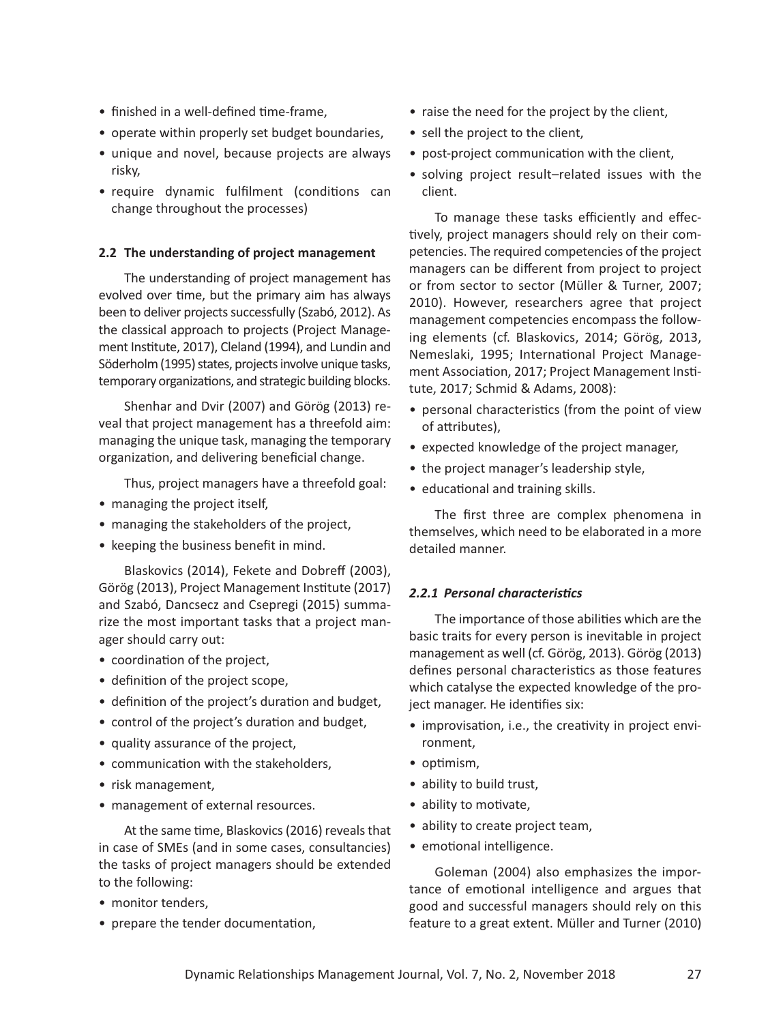- $\bullet$  finished in a well-defined time-frame,
- operate within properly set budget boundaries,
- unique and novel, because projects are always risky,
- require dynamic fulfilment (conditions can change throughout the processes)

#### **2.2 The understanding of project management**

The understanding of project management has evolved over time, but the primary aim has always been to deliver projects successfully (Szabó, 2012). As the classical approach to projects (Project Management Institute, 2017), Cleland (1994), and Lundin and Söderholm (1995) states, projects involve unique tasks, temporary organizations, and strategic building blocks.

Shenhar and Dvir (2007) and Görög (2013) reveal that project management has a threefold aim: managing the unique task, managing the temporary organization, and delivering beneficial change.

Thus, project managers have a threefold goal:

- managing the project itself,
- managing the stakeholders of the project,
- keeping the business benefit in mind.

Blaskovics (2014), Fekete and Dobreff (2003), Görög (2013), Project Management Institute (2017) and Szabó, Dancsecz and Csepregi (2015) summarize the most important tasks that a project manager should carry out:

- coordination of the project,
- definition of the project scope,
- definition of the project's duration and budget,
- control of the project's duration and budget,
- quality assurance of the project,
- communication with the stakeholders,
- risk management,
- management of external resources.

At the same time, Blaskovics (2016) reveals that in case of SMEs (and in some cases, consultancies) the tasks of project managers should be extended to the following:

- monitor tenders.
- prepare the tender documentation,
- raise the need for the project by the client,
- sell the project to the client,
- post-project communication with the client,
- solving project result–related issues with the client.

To manage these tasks efficiently and effectively, project managers should rely on their competencies. The required competencies of the project managers can be different from project to project or from sector to sector (Müller & Turner, 2007; 2010). However, researchers agree that project management competencies encompass the following elements (cf. Blaskovics, 2014; Görög, 2013, Nemeslaki, 1995; International Project Management Association, 2017; Project Management Institute, 2017; Schmid & Adams, 2008):

- personal characteristics (from the point of view of attributes),
- expected knowledge of the project manager,
- the project manager's leadership style,
- educational and training skills.

The first three are complex phenomena in themselves, which need to be elaborated in a more detailed manner.

### *2.2.1 Personal characteristics*

The importance of those abilities which are the basic traits for every person is inevitable in project management as well (cf. Görög, 2013). Görög (2013) defines personal characteristics as those features which catalyse the expected knowledge of the project manager. He identifies six:

- improvisation, i.e., the creativity in project environment,
- optimism,
- ability to build trust,
- ability to motivate,
- ability to create project team,
- emotional intelligence.

Goleman (2004) also emphasizes the importance of emotional intelligence and argues that good and successful managers should rely on this feature to a great extent. Müller and Turner (2010)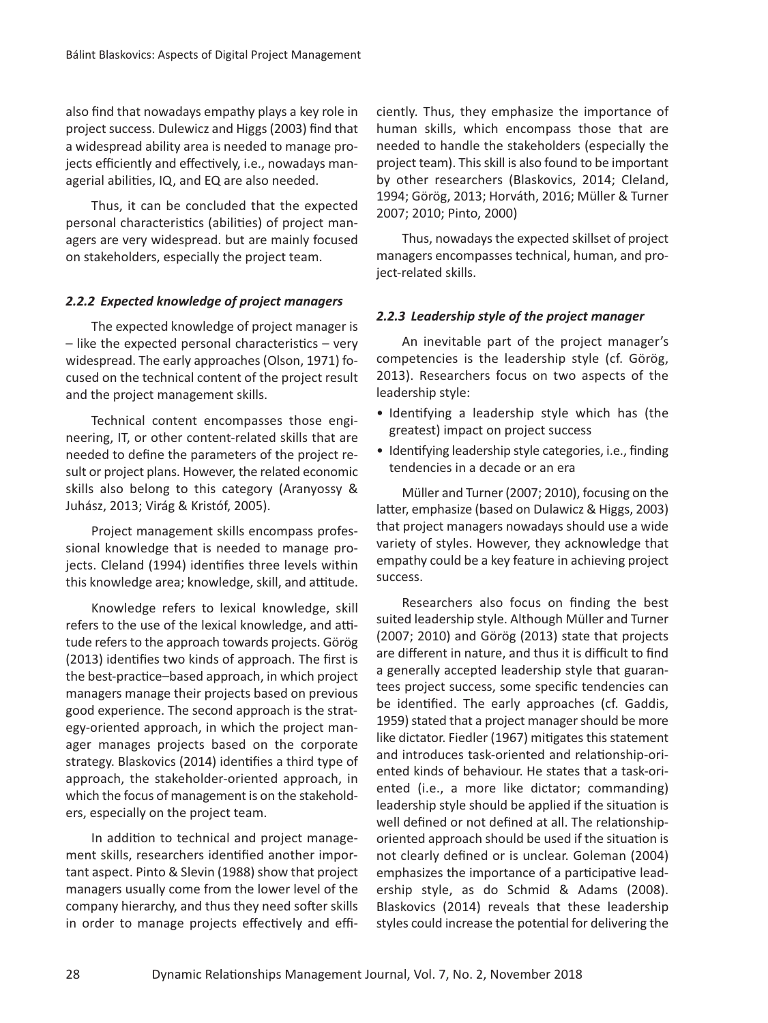also find that nowadays empathy plays a key role in project success. Dulewicz and Higgs (2003) find that a widespread ability area is needed to manage projects efficiently and effectively, i.e., nowadays managerial abilities, IQ, and EQ are also needed.

Thus, it can be concluded that the expected personal characteristics (abilities) of project managers are very widespread. but are mainly focused on stakeholders, especially the project team.

### *2.2.2 Expected knowledge of project managers*

The expected knowledge of project manager is  $-$  like the expected personal characteristics  $-$  very widespread. The early approaches (Olson, 1971) focused on the technical content of the project result and the project management skills.

Technical content encompasses those engineering, IT, or other content-related skills that are needed to define the parameters of the project result or project plans. However, the related economic skills also belong to this category (Aranyossy & Juhász, 2013; Virág & Kristóf, 2005).

Project management skills encompass professional knowledge that is needed to manage projects. Cleland (1994) identifies three levels within this knowledge area; knowledge, skill, and attitude.

Knowledge refers to lexical knowledge, skill refers to the use of the lexical knowledge, and attitude refers to the approach towards projects. Görög (2013) identifies two kinds of approach. The first is the best-practice–based approach, in which project managers manage their projects based on previous good experience. The second approach is the strategy-oriented approach, in which the project manager manages projects based on the corporate strategy. Blaskovics (2014) identifies a third type of approach, the stakeholder-oriented approach, in which the focus of management is on the stakeholders, especially on the project team.

In addition to technical and project management skills, researchers identified another important aspect. Pinto & Slevin (1988) show that project managers usually come from the lower level of the company hierarchy, and thus they need softer skills in order to manage projects effectively and efficiently. Thus, they emphasize the importance of human skills, which encompass those that are needed to handle the stakeholders (especially the project team). This skill is also found to be important by other researchers (Blaskovics, 2014; Cleland, 1994; Görög, 2013; Horváth, 2016; Müller & Turner 2007; 2010; Pinto, 2000)

Thus, nowadays the expected skillset of project managers encompasses technical, human, and project-related skills.

### *2.2.3 Leadership style of the project manager*

An inevitable part of the project manager's competencies is the leadership style (cf. Görög, 2013). Researchers focus on two aspects of the leadership style:

- Identifying a leadership style which has (the greatest) impact on project success
- Identifying leadership style categories, i.e., finding tendencies in a decade or an era

Müller and Turner (2007; 2010), focusing on the latter, emphasize (based on Dulawicz & Higgs, 2003) that project managers nowadays should use a wide variety of styles. However, they acknowledge that empathy could be a key feature in achieving project success.

Researchers also focus on finding the best suited leadership style. Although Müller and Turner (2007; 2010) and Görög (2013) state that projects are different in nature, and thus it is difficult to find a generally accepted leadership style that guarantees project success, some specific tendencies can be identified. The early approaches (cf. Gaddis, 1959) stated that a project manager should be more like dictator. Fiedler (1967) mitigates this statement and introduces task-oriented and relationship-oriented kinds of behaviour. He states that a task-oriented (i.e., a more like dictator; commanding) leadership style should be applied if the situation is well defined or not defined at all. The relationshiporiented approach should be used if the situation is not clearly defined or is unclear. Goleman (2004) emphasizes the importance of a participative leadership style, as do Schmid & Adams (2008). Blaskovics (2014) reveals that these leadership styles could increase the potential for delivering the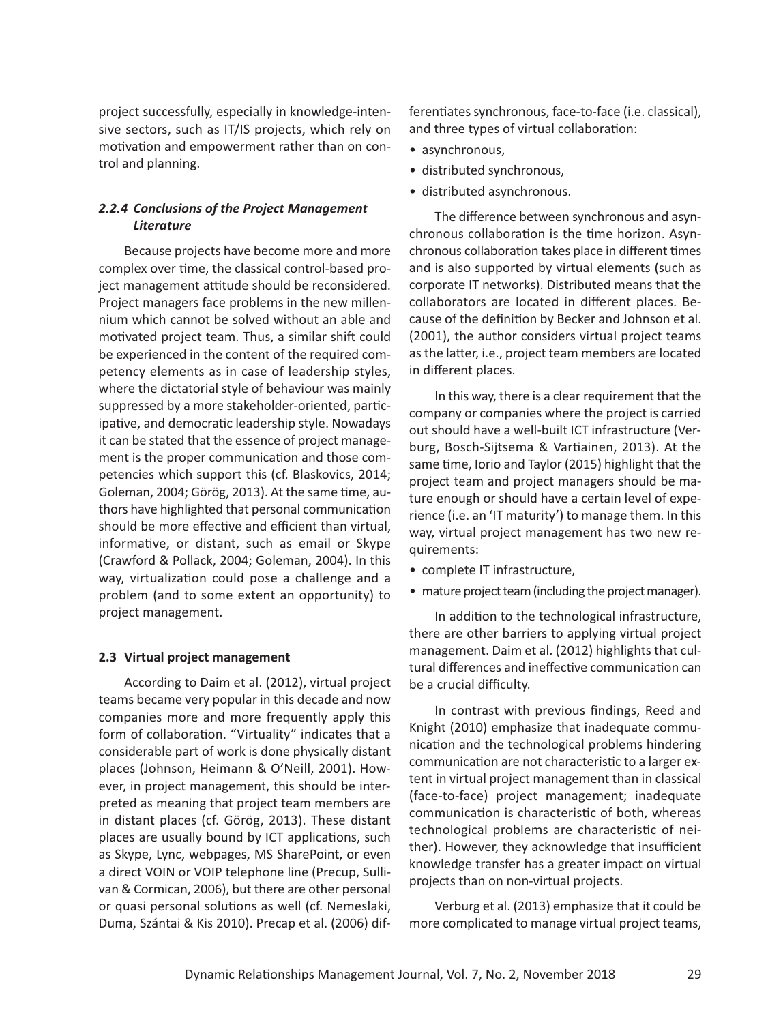project successfully, especially in knowledge-intensive sectors, such as IT/IS projects, which rely on motivation and empowerment rather than on control and planning.

# *2.2.4 Conclusions of the Project Management Literature*

Because projects have become more and more complex over time, the classical control-based project management attitude should be reconsidered. Project managers face problems in the new millennium which cannot be solved without an able and motivated project team. Thus, a similar shift could be experienced in the content of the required competency elements as in case of leadership styles, where the dictatorial style of behaviour was mainly suppressed by a more stakeholder-oriented, participative, and democratic leadership style. Nowadays it can be stated that the essence of project management is the proper communication and those competencies which support this (cf. Blaskovics, 2014; Goleman, 2004; Görög, 2013). At the same time, authors have highlighted that personal communication should be more effective and efficient than virtual, informative, or distant, such as email or Skype (Crawford & Pollack, 2004; Goleman, 2004). In this way, virtualization could pose a challenge and a problem (and to some extent an opportunity) to project management.

### **2.3 Virtual project management**

According to Daim et al. (2012), virtual project teams became very popular in this decade and now companies more and more frequently apply this form of collaboration. "Virtuality" indicates that a considerable part of work is done physically distant places (Johnson, Heimann & O'Neill, 2001). However, in project management, this should be interpreted as meaning that project team members are in distant places (cf. Görög, 2013). These distant places are usually bound by ICT applications, such as Skype, Lync, webpages, MS SharePoint, or even a direct VOIN or VOIP telephone line (Precup, Sullivan & Cormican, 2006), but there are other personal or quasi personal solutions as well (cf. Nemeslaki, Duma, Szántai & Kis 2010). Precap et al. (2006) differentiates synchronous, face-to-face (i.e. classical), and three types of virtual collaboration:

- asynchronous,
- distributed synchronous,
- distributed asynchronous.

The difference between synchronous and asynchronous collaboration is the time horizon. Asynchronous collaboration takes place in different times and is also supported by virtual elements (such as corporate IT networks). Distributed means that the collaborators are located in different places. Because of the definition by Becker and Johnson et al. (2001), the author considers virtual project teams as the latter, i.e., project team members are located in different places.

In this way, there is a clear requirement that the company or companies where the project is carried out should have a well-built ICT infrastructure (Verburg, Bosch-Sijtsema & Vartiainen, 2013). At the same time, Iorio and Taylor (2015) highlight that the project team and project managers should be mature enough or should have a certain level of experience (i.e. an 'IT maturity') to manage them. In this way, virtual project management has two new requirements:

- complete IT infrastructure,
- mature project team (including the project manager).

In addition to the technological infrastructure, there are other barriers to applying virtual project management. Daim et al. (2012) highlights that cultural differences and ineffective communication can be a crucial difficulty.

In contrast with previous findings, Reed and Knight (2010) emphasize that inadequate communication and the technological problems hindering communication are not characteristic to a larger extent in virtual project management than in classical (face-to-face) project management; inadequate communication is characteristic of both, whereas technological problems are characteristic of neither). However, they acknowledge that insufficient knowledge transfer has a greater impact on virtual projects than on non-virtual projects.

Verburg et al. (2013) emphasize that it could be more complicated to manage virtual project teams,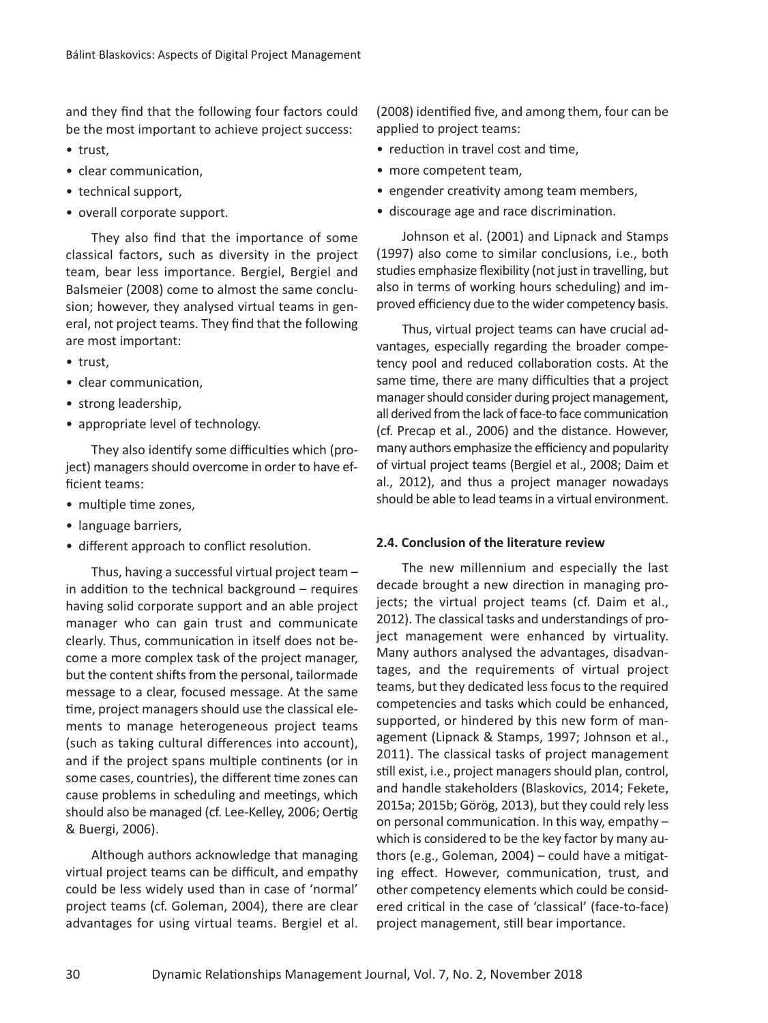and they find that the following four factors could be the most important to achieve project success:

- trust,
- clear communication,
- technical support,
- overall corporate support.

They also find that the importance of some classical factors, such as diversity in the project team, bear less importance. Bergiel, Bergiel and Balsmeier (2008) come to almost the same conclusion; however, they analysed virtual teams in general, not project teams. They find that the following are most important:

- trust,
- clear communication,
- strong leadership,
- appropriate level of technology.

They also identify some difficulties which (project) managers should overcome in order to have efficient teams:

- multiple time zones.
- language barriers,
- different approach to conflict resolution.

Thus, having a successful virtual project team – in addition to the technical background – requires having solid corporate support and an able project manager who can gain trust and communicate clearly. Thus, communication in itself does not become a more complex task of the project manager, but the content shifts from the personal, tailormade message to a clear, focused message. At the same time, project managers should use the classical elements to manage heterogeneous project teams (such as taking cultural differences into account), and if the project spans multiple continents (or in some cases, countries), the different time zones can cause problems in scheduling and meetings, which should also be managed (cf. Lee-Kelley, 2006; Oertig & Buergi, 2006).

Although authors acknowledge that managing virtual project teams can be difficult, and empathy could be less widely used than in case of 'normal' project teams (cf. Goleman, 2004), there are clear advantages for using virtual teams. Bergiel et al.

(2008) identified five, and among them, four can be applied to project teams:

- reduction in travel cost and time,
- more competent team,
- engender creativity among team members,
- discourage age and race discrimination.

Johnson et al. (2001) and Lipnack and Stamps (1997) also come to similar conclusions, i.e., both studies emphasize flexibility (not just in travelling, but also in terms of working hours scheduling) and improved efficiency due to the wider competency basis.

Thus, virtual project teams can have crucial advantages, especially regarding the broader competency pool and reduced collaboration costs. At the same time, there are many difficulties that a project manager should consider during project management, all derived from the lack of face-to face communication (cf. Precap et al., 2006) and the distance. However, many authors emphasize the efficiency and popularity of virtual project teams (Bergiel et al., 2008; Daim et al., 2012), and thus a project manager nowadays should be able to lead teams in a virtual environment.

### **2.4. Conclusion of the literature review**

The new millennium and especially the last decade brought a new direction in managing projects; the virtual project teams (cf. Daim et al., 2012). The classical tasks and understandings of project management were enhanced by virtuality. Many authors analysed the advantages, disadvantages, and the requirements of virtual project teams, but they dedicated less focus to the required competencies and tasks which could be enhanced, supported, or hindered by this new form of management (Lipnack & Stamps, 1997; Johnson et al., 2011). The classical tasks of project management still exist, i.e., project managers should plan, control, and handle stakeholders (Blaskovics, 2014; Fekete, 2015a; 2015b; Görög, 2013), but they could rely less on personal communication. In this way, empathy – which is considered to be the key factor by many authors (e.g., Goleman, 2004) – could have a mitigating effect. However, communication, trust, and other competency elements which could be considered critical in the case of 'classical' (face-to-face) project management, still bear importance.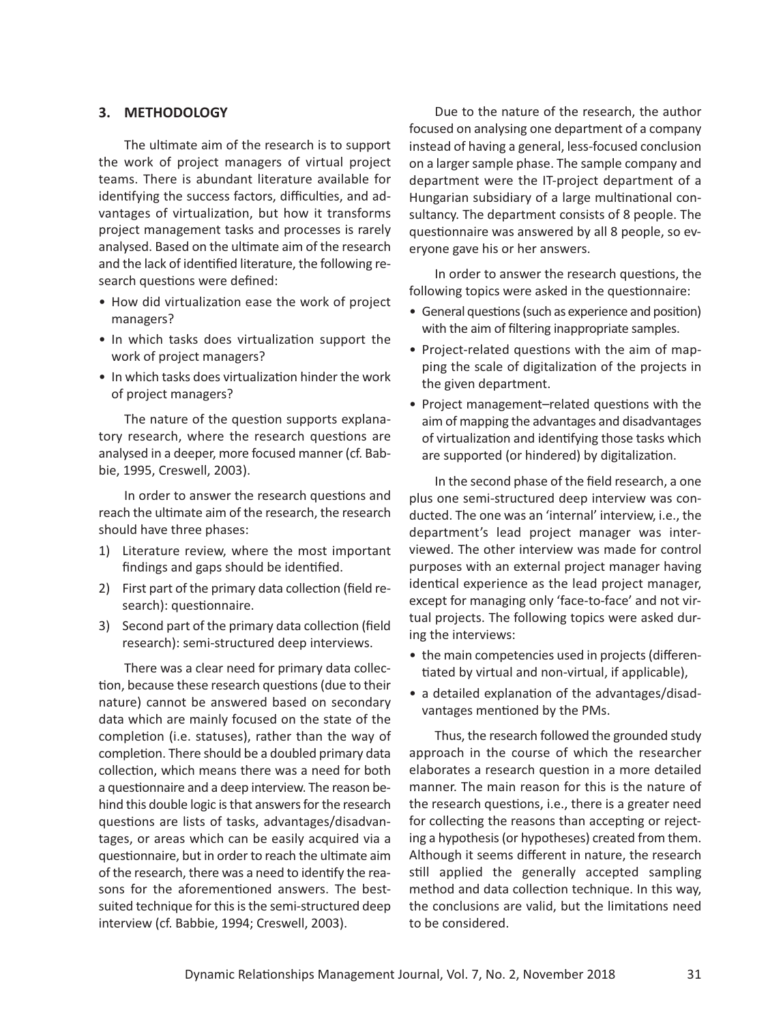### **3. METHODOLOGY**

The ultimate aim of the research is to support the work of project managers of virtual project teams. There is abundant literature available for identifying the success factors, difficulties, and advantages of virtualization, but how it transforms project management tasks and processes is rarely analysed. Based on the ultimate aim of the research and the lack of identified literature, the following research questions were defined:

- How did virtualization ease the work of project managers?
- In which tasks does virtualization support the work of project managers?
- In which tasks does virtualization hinder the work of project managers?

The nature of the question supports explanatory research, where the research questions are analysed in a deeper, more focused manner (cf. Babbie, 1995, Creswell, 2003).

In order to answer the research questions and reach the ultimate aim of the research, the research should have three phases:

- 1) Literature review, where the most important findings and gaps should be identified.
- 2) First part of the primary data collection (field research): questionnaire.
- 3) Second part of the primary data collection (field research): semi-structured deep interviews.

There was a clear need for primary data collection, because these research questions (due to their nature) cannot be answered based on secondary data which are mainly focused on the state of the completion (i.e. statuses), rather than the way of completion. There should be a doubled primary data collection, which means there was a need for both a questionnaire and a deep interview. The reason behind this double logic is that answers for the research questions are lists of tasks, advantages/disadvantages, or areas which can be easily acquired via a questionnaire, but in order to reach the ultimate aim of the research, there was a need to identify the reasons for the aforementioned answers. The bestsuited technique for this is the semi-structured deep interview (cf. Babbie, 1994; Creswell, 2003).

Due to the nature of the research, the author focused on analysing one department of a company instead of having a general, less-focused conclusion on a larger sample phase. The sample company and department were the IT-project department of a Hungarian subsidiary of a large multinational consultancy. The department consists of 8 people. The questionnaire was answered by all 8 people, so everyone gave his or her answers.

In order to answer the research questions, the following topics were asked in the questionnaire:

- General questions (such as experience and position) with the aim of filtering inappropriate samples.
- Project-related questions with the aim of mapping the scale of digitalization of the projects in the given department.
- Project management–related questions with the aim of mapping the advantages and disadvantages of virtualization and identifying those tasks which are supported (or hindered) by digitalization.

In the second phase of the field research, a one plus one semi-structured deep interview was conducted. The one was an 'internal' interview, i.e., the department's lead project manager was interviewed. The other interview was made for control purposes with an external project manager having identical experience as the lead project manager, except for managing only 'face-to-face' and not virtual projects. The following topics were asked during the interviews:

- the main competencies used in projects (differentiated by virtual and non-virtual, if applicable),
- a detailed explanation of the advantages/disadvantages mentioned by the PMs.

Thus, the research followed the grounded study approach in the course of which the researcher elaborates a research question in a more detailed manner. The main reason for this is the nature of the research questions, i.e., there is a greater need for collecting the reasons than accepting or rejecting a hypothesis (or hypotheses) created from them. Although it seems different in nature, the research still applied the generally accepted sampling method and data collection technique. In this way, the conclusions are valid, but the limitations need to be considered.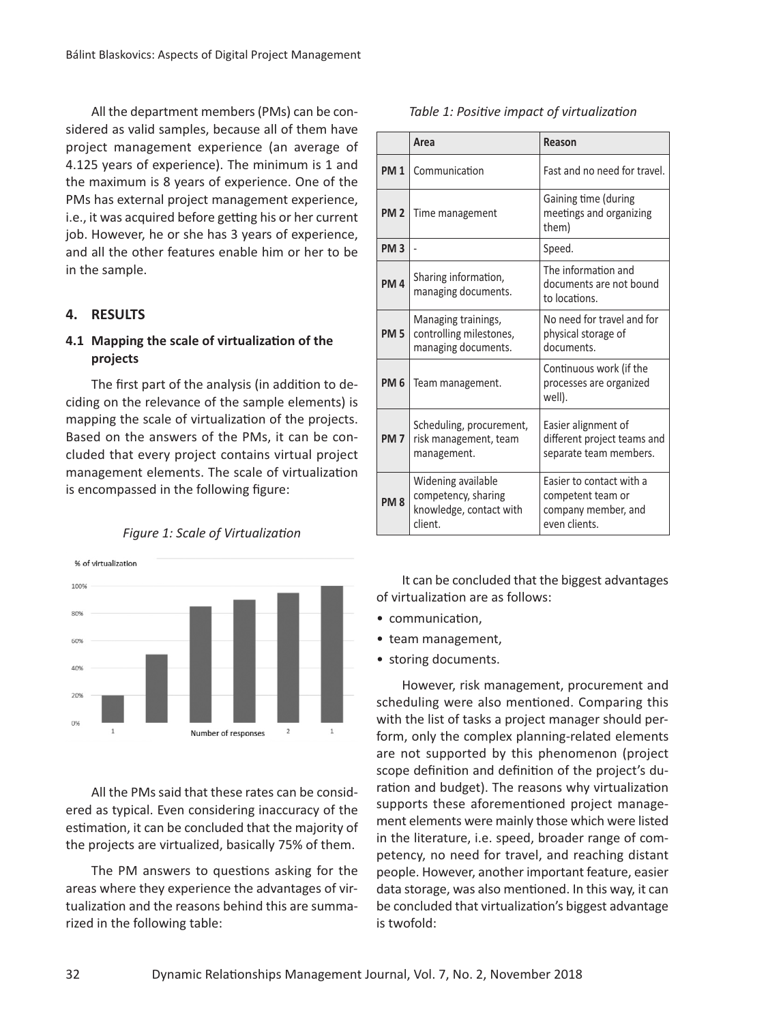All the department members (PMs) can be considered as valid samples, because all of them have project management experience (an average of 4.125 years of experience). The minimum is 1 and the maximum is 8 years of experience. One of the PMs has external project management experience, i.e., it was acquired before getting his or her current job. However, he or she has 3 years of experience, and all the other features enable him or her to be in the sample.

## **4. RESULTS**

# **4.1 Mapping the scale of virtualization of the projects**

The first part of the analysis (in addition to deciding on the relevance of the sample elements) is mapping the scale of virtualization of the projects. Based on the answers of the PMs, it can be concluded that every project contains virtual project management elements. The scale of virtualization is encompassed in the following figure:



*Figure 1: Scale of Virtualization*

All the PMs said that these rates can be considered as typical. Even considering inaccuracy of the estimation, it can be concluded that the majority of the projects are virtualized, basically 75% of them.

The PM answers to questions asking for the areas where they experience the advantages of virtualization and the reasons behind this are summarized in the following table:

|                 | Area                                                                            | Reason                                                                                |
|-----------------|---------------------------------------------------------------------------------|---------------------------------------------------------------------------------------|
| <b>PM1</b>      | Communication                                                                   | Fast and no need for travel.                                                          |
| <b>PM 2</b>     | Time management                                                                 | Gaining time (during<br>meetings and organizing<br>them)                              |
| <b>PM3</b>      |                                                                                 | Speed.                                                                                |
| <b>PM4</b>      | Sharing information,<br>managing documents.                                     | The information and<br>documents are not bound<br>to locations.                       |
| <b>PM 5</b>     | Managing trainings,<br>controlling milestones,<br>managing documents.           | No need for travel and for<br>physical storage of<br>documents.                       |
| <b>PM 6</b>     | Team management.                                                                | Continuous work (if the<br>processes are organized<br>well).                          |
| <b>PM7</b>      | Scheduling, procurement,<br>risk management, team<br>management.                | Easier alignment of<br>different project teams and<br>separate team members.          |
| PM <sub>8</sub> | Widening available<br>competency, sharing<br>knowledge, contact with<br>client. | Easier to contact with a<br>competent team or<br>company member, and<br>even clients. |

*Table 1: Positive impact of virtualization*

It can be concluded that the biggest advantages of virtualization are as follows:

- communication,
- team management,
- storing documents.

However, risk management, procurement and scheduling were also mentioned. Comparing this with the list of tasks a project manager should perform, only the complex planning-related elements are not supported by this phenomenon (project scope definition and definition of the project's duration and budget). The reasons why virtualization supports these aforementioned project management elements were mainly those which were listed in the literature, i.e. speed, broader range of competency, no need for travel, and reaching distant people. However, another important feature, easier data storage, was also mentioned. In this way, it can be concluded that virtualization's biggest advantage is twofold: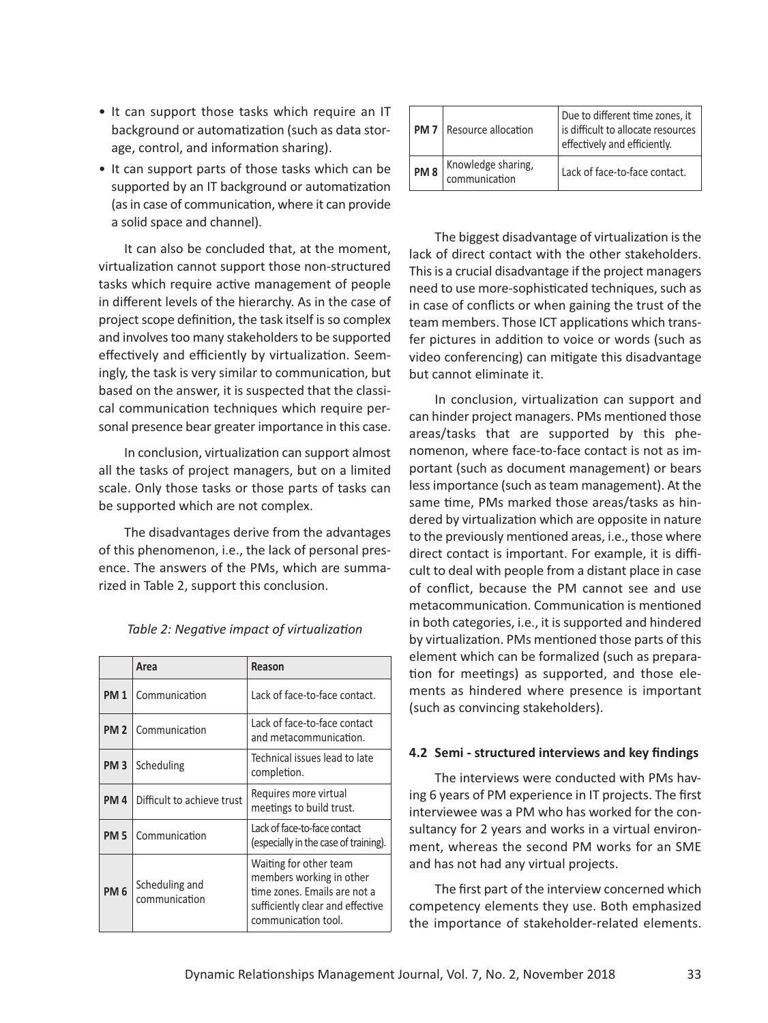- It can support those tasks which require an IT background or automatization (such as data storage, control, and information sharing).
- It can support parts of those tasks which can be supported by an IT background or automatization (as in case of communication, where it can provide a solid space and channel).

It can also be concluded that, at the moment, virtualization cannot support those non-structured tasks which require active management of people in different levels of the hierarchy. As in the case of project scope definition, the task itself is so complex and involves too many stakeholders to be supported effectively and efficiently by virtualization. Seemingly, the task is very similar to communication, but based on the answer, it is suspected that the classical communication techniques which require personal presence bear greater importance in this case.

In conclusion, virtualization can support almost all the tasks of project managers, but on a limited scale. Only those tasks or those parts of tasks can be supported which are not complex.

The disadvantages derive from the advantages of this phenomenon, i.e., the lack of personal presence. The answers of the PMs, which are summarized in Table 2, support this conclusion.

|             | Area                            | Reason                                                                                                                                        |
|-------------|---------------------------------|-----------------------------------------------------------------------------------------------------------------------------------------------|
| <b>PM1</b>  | Communication                   | Lack of face-to-face contact.                                                                                                                 |
| <b>PM2</b>  | Communication                   | Lack of face-to-face contact<br>and metacommunication.                                                                                        |
| <b>PM3</b>  | Scheduling                      | Technical issues lead to late<br>completion.                                                                                                  |
| <b>PM4</b>  | Difficult to achieve trust      | Requires more virtual<br>meetings to build trust.                                                                                             |
| <b>PM 5</b> | Communication                   | Lack of face-to-face contact<br>(especially in the case of training).                                                                         |
| <b>PM6</b>  | Scheduling and<br>communication | Waiting for other team<br>members working in other<br>time zones. Emails are not a<br>sufficiently clear and effective<br>communication tool. |

| Table 2: Negative impact of virtualization |  |  |  |
|--------------------------------------------|--|--|--|
|--------------------------------------------|--|--|--|

| <b>PM7</b>      | Resource allocation                 | Due to different time zones, it<br>is difficult to allocate resources<br>effectively and efficiently. |
|-----------------|-------------------------------------|-------------------------------------------------------------------------------------------------------|
| PM <sub>8</sub> | Knowledge sharing,<br>communication | Lack of face-to-face contact.                                                                         |

The biggest disadvantage of virtualization is the lack of direct contact with the other stakeholders. This is a crucial disadvantage if the project managers need to use more-sophisticated techniques, such as in case of conflicts or when gaining the trust of the team members. Those ICT applications which transfer pictures in addition to voice or words (such as video conferencing) can mitigate this disadvantage but cannot eliminate it.

In conclusion, virtualization can support and can hinder project managers. PMs mentioned those areas/tasks that are supported by this phenomenon, where face-to-face contact is not as important (such as document management) or bears less importance (such as team management). At the same time, PMs marked those areas/tasks as hindered by virtualization which are opposite in nature to the previously mentioned areas, i.e., those where direct contact is important. For example, it is difficult to deal with people from a distant place in case of conflict, because the PM cannot see and use metacommunication. Communication is mentioned in both categories, i.e., it is supported and hindered by virtualization. PMs mentioned those parts of this element which can be formalized (such as preparation for meetings) as supported, and those elements as hindered where presence is important (such as convincing stakeholders).

### **4.2 Semi - structured interviews and key findings**

The interviews were conducted with PMs having 6 years of PM experience in IT projects. The first interviewee was a PM who has worked for the consultancy for 2 years and works in a virtual environment, whereas the second PM works for an SME and has not had any virtual projects.

The first part of the interview concerned which competency elements they use. Both emphasized the importance of stakeholder-related elements.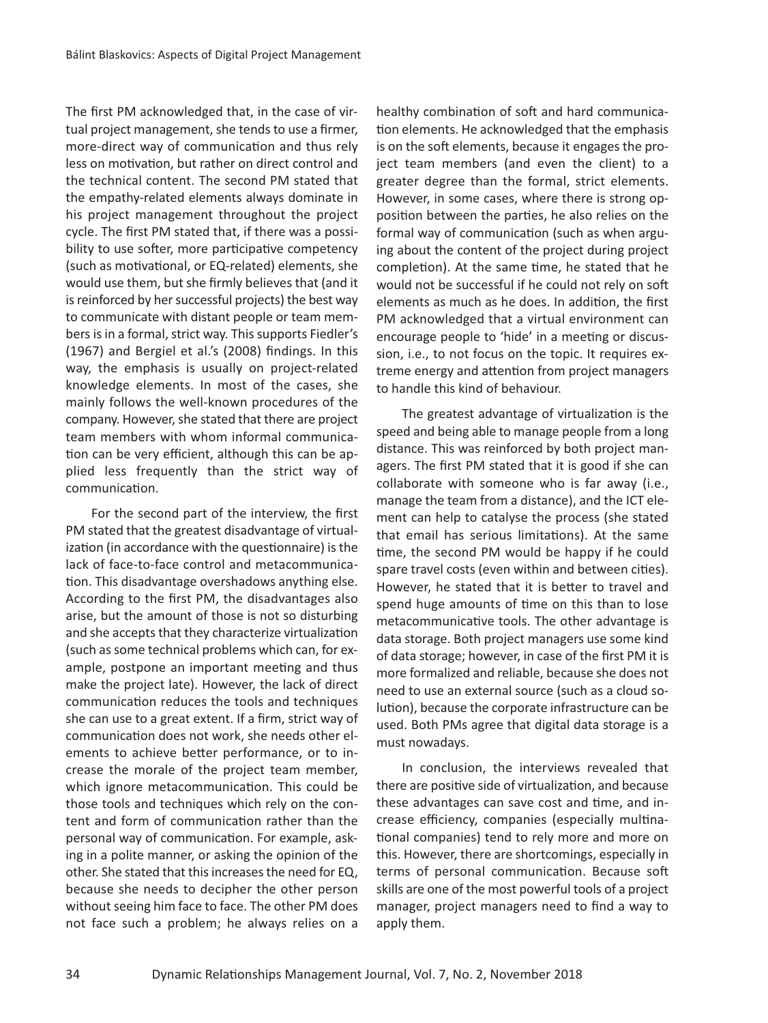The first PM acknowledged that, in the case of virtual project management, she tends to use a firmer, more-direct way of communication and thus rely less on motivation, but rather on direct control and the technical content. The second PM stated that the empathy-related elements always dominate in his project management throughout the project cycle. The first PM stated that, if there was a possibility to use softer, more participative competency (such as motivational, or EQ-related) elements, she would use them, but she firmly believes that (and it is reinforced by her successful projects) the best way to communicate with distant people or team members is in a formal, strict way. This supports Fiedler's (1967) and Bergiel et al.'s (2008) findings. In this way, the emphasis is usually on project-related knowledge elements. In most of the cases, she mainly follows the well-known procedures of the company. However, she stated that there are project team members with whom informal communication can be very efficient, although this can be applied less frequently than the strict way of communication.

For the second part of the interview, the first PM stated that the greatest disadvantage of virtualization (in accordance with the questionnaire) is the lack of face-to-face control and metacommunication. This disadvantage overshadows anything else. According to the first PM, the disadvantages also arise, but the amount of those is not so disturbing and she accepts that they characterize virtualization (such as some technical problems which can, for example, postpone an important meeting and thus make the project late). However, the lack of direct communication reduces the tools and techniques she can use to a great extent. If a firm, strict way of communication does not work, she needs other elements to achieve better performance, or to increase the morale of the project team member, which ignore metacommunication. This could be those tools and techniques which rely on the content and form of communication rather than the personal way of communication. For example, asking in a polite manner, or asking the opinion of the other. She stated that this increases the need for EQ, because she needs to decipher the other person without seeing him face to face. The other PM does not face such a problem; he always relies on a healthy combination of soft and hard communication elements. He acknowledged that the emphasis is on the soft elements, because it engages the project team members (and even the client) to a greater degree than the formal, strict elements. However, in some cases, where there is strong opposition between the parties, he also relies on the formal way of communication (such as when arguing about the content of the project during project completion). At the same time, he stated that he would not be successful if he could not rely on soft elements as much as he does. In addition, the first PM acknowledged that a virtual environment can encourage people to 'hide' in a meeting or discussion, i.e., to not focus on the topic. It requires extreme energy and attention from project managers to handle this kind of behaviour.

The greatest advantage of virtualization is the speed and being able to manage people from a long distance. This was reinforced by both project managers. The first PM stated that it is good if she can collaborate with someone who is far away (i.e., manage the team from a distance), and the ICT element can help to catalyse the process (she stated that email has serious limitations). At the same time, the second PM would be happy if he could spare travel costs (even within and between cities). However, he stated that it is better to travel and spend huge amounts of time on this than to lose metacommunicative tools. The other advantage is data storage. Both project managers use some kind of data storage; however, in case of the first PM it is more formalized and reliable, because she does not need to use an external source (such as a cloud solution), because the corporate infrastructure can be used. Both PMs agree that digital data storage is a must nowadays.

In conclusion, the interviews revealed that there are positive side of virtualization, and because these advantages can save cost and time, and increase efficiency, companies (especially multinational companies) tend to rely more and more on this. However, there are shortcomings, especially in terms of personal communication. Because soft skills are one of the most powerful tools of a project manager, project managers need to find a way to apply them.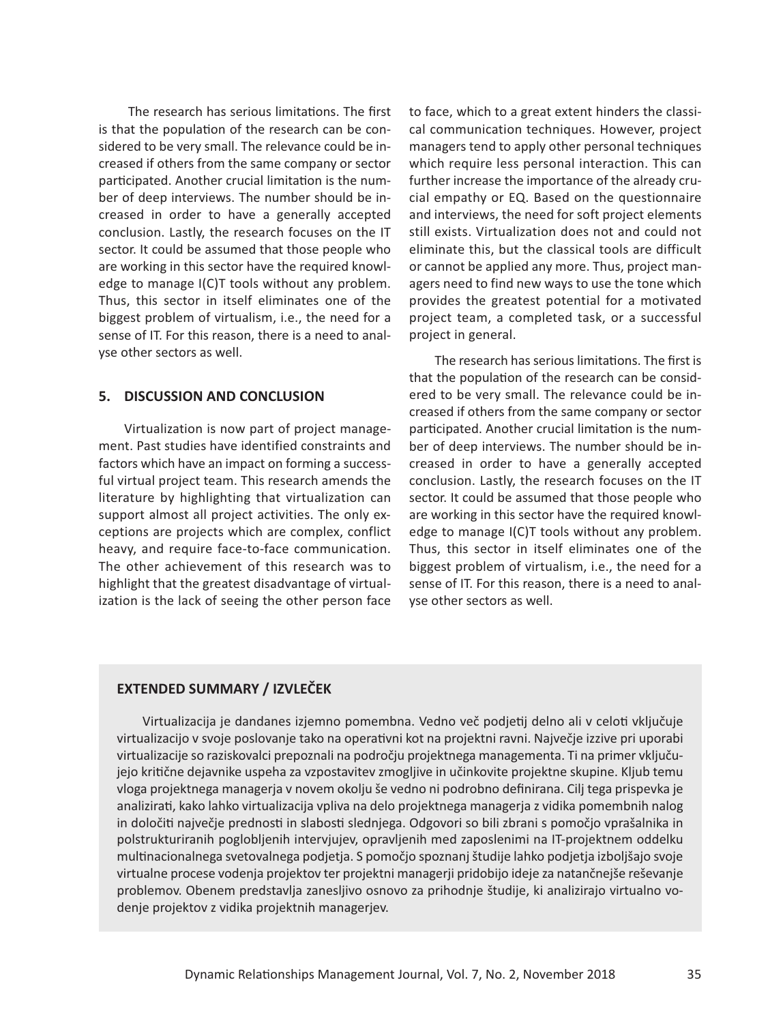The research has serious limitations. The first is that the population of the research can be considered to be very small. The relevance could be increased if others from the same company or sector participated. Another crucial limitation is the number of deep interviews. The number should be increased in order to have a generally accepted conclusion. Lastly, the research focuses on the IT sector. It could be assumed that those people who are working in this sector have the required knowledge to manage I(C)T tools without any problem. Thus, this sector in itself eliminates one of the biggest problem of virtualism, i.e., the need for a sense of IT. For this reason, there is a need to analyse other sectors as well.

### **5. DISCUSSION AND CONCLUSION**

Virtualization is now part of project management. Past studies have identified constraints and factors which have an impact on forming a successful virtual project team. This research amends the literature by highlighting that virtualization can support almost all project activities. The only exceptions are projects which are complex, conflict heavy, and require face-to-face communication. The other achievement of this research was to highlight that the greatest disadvantage of virtualization is the lack of seeing the other person face

to face, which to a great extent hinders the classical communication techniques. However, project managers tend to apply other personal techniques which require less personal interaction. This can further increase the importance of the already crucial empathy or EQ. Based on the questionnaire and interviews, the need for soft project elements still exists. Virtualization does not and could not eliminate this, but the classical tools are difficult or cannot be applied any more. Thus, project managers need to find new ways to use the tone which provides the greatest potential for a motivated project team, a completed task, or a successful project in general.

The research has serious limitations. The first is that the population of the research can be considered to be very small. The relevance could be increased if others from the same company or sector participated. Another crucial limitation is the number of deep interviews. The number should be increased in order to have a generally accepted conclusion. Lastly, the research focuses on the IT sector. It could be assumed that those people who are working in this sector have the required knowledge to manage I(C)T tools without any problem. Thus, this sector in itself eliminates one of the biggest problem of virtualism, i.e., the need for a sense of IT. For this reason, there is a need to analyse other sectors as well.

### **EXTENDED SUMMARY / IZVLEČEK**

Virtualizacija je dandanes izjemno pomembna. Vedno več podjetij delno ali v celoti vključuje virtualizacijo v svoje poslovanje tako na operativni kot na projektni ravni. Največje izzive pri uporabi virtualizacije so raziskovalci prepoznali na področju projektnega managementa. Ti na primer vključujejo kritične dejavnike uspeha za vzpostavitev zmogljive in učinkovite projektne skupine. Kljub temu vloga projektnega managerja v novem okolju še vedno ni podrobno definirana. Cilj tega prispevka je analizirati, kako lahko virtualizacija vpliva na delo projektnega managerja z vidika pomembnih nalog in določiti največje prednosti in slabosti slednjega. Odgovori so bili zbrani s pomočjo vprašalnika in polstrukturiranih poglobljenih intervjujev, opravljenih med zaposlenimi na IT-projektnem oddelku multinacionalnega svetovalnega podjetja. S pomočjo spoznanj študije lahko podjetja izboljšajo svoje virtualne procese vodenja projektov ter projektni managerji pridobijo ideje za natančnejše reševanje problemov. Obenem predstavlja zanesljivo osnovo za prihodnje študije, ki analizirajo virtualno vodenje projektov z vidika projektnih managerjev.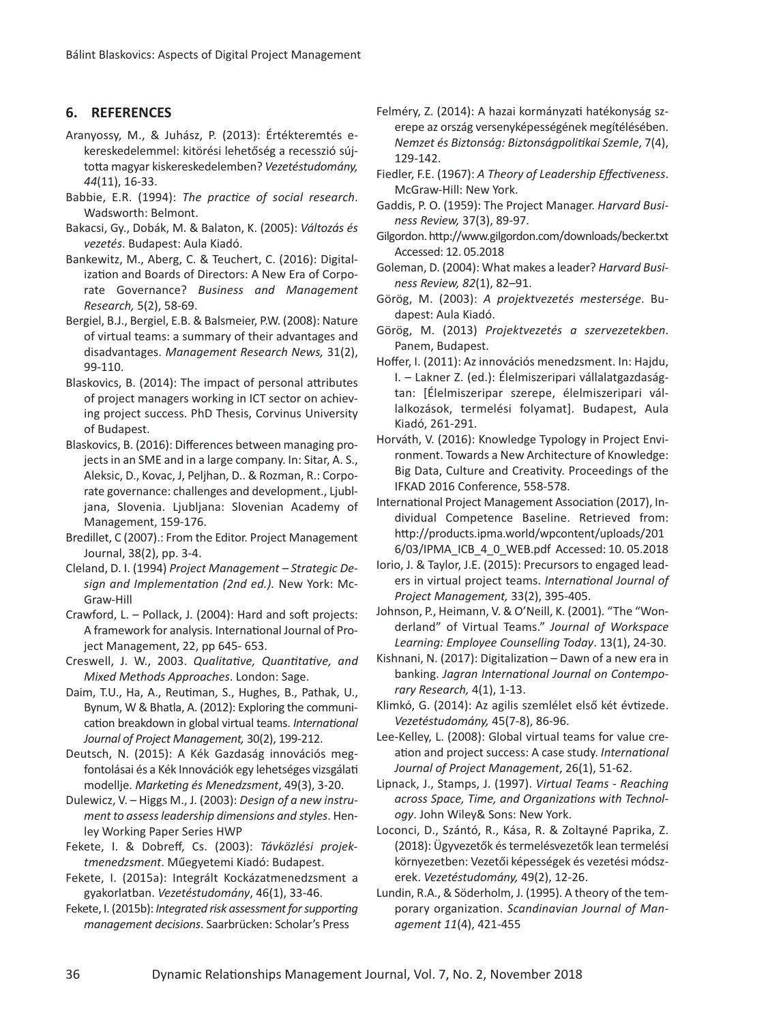#### **6. REFERENCES**

- Aranyossy, M., & Juhász, P. (2013): Értékteremtés ekereskedelemmel: kitörési lehetőség a recesszió sújtotta magyar kiskereskedelemben? *Vezetéstudomány,* 44(11), 16-33.
- Babbie, E.R. (1994): *The practice of social research*. Wadsworth: Belmont.
- Bakacsi, Gy., Dobák, M. & Balaton, K. (2005): *Változás és vezetés*. Budapest: Aula Kiadó.
- Bankewitz, M., Aberg, C. & Teuchert, C. (2016): Digitalization and Boards of Directors: A New Era of Corporate Governance? *Business and Management Research*, 5(2), 58-69.
- Bergiel, B.J., Bergiel, E.B. & Balsmeier, P.W. (2008): Nature of virtual teams: a summary of their advantages and disadvantages. *Management Research News,* 31(2), 99110.
- Blaskovics, B. (2014): The impact of personal attributes of project managers working in ICT sector on achieving project success. PhD Thesis, Corvinus University of Budapest.
- Blaskovics, B. (2016): Differences between managing projects in an SME and in a large company. In: Sitar, A. S., Aleksic, D., Kovac, J, Peljhan, D.. & Rozman, R.: Corporate governance: challenges and development., Ljubljana, Slovenia. Ljubljana: Slovenian Academy of Management, 159-176.
- Bredillet, C (2007).: From the Editor. Project Management Journal, 38(2), pp. 3-4.
- Cleland, D. I. (1994) *Project Management Strategic Design and Implementation (2nd ed.).* New York: Mc-Graw-Hill
- Crawford, L. Pollack, J. (2004): Hard and soft projects: A framework for analysis. International Journal of Project Management, 22, pp 645- 653.
- Creswell, J. W., 2003. *Qualitative, Quantitative, and Mixed Methods Approaches*. London: Sage.
- Daim, T.U., Ha, A., Reutiman, S., Hughes, B., Pathak, U., Bynum, W & Bhatla, A. (2012): Exploring the communication breakdown in global virtual teams. *International* Journal of Project Management, 30(2), 199-212.
- Deutsch, N. (2015): A Kék Gazdaság innovációs megfontolásai és a Kék Innovációk egy lehetséges vizsgálati modellje. *Marketing és Menedzsment*, 49(3), 320.
- Dulewicz, V. Higgs M., J. (2003): *Design of a new instrument to assess leadership dimensions and styles*. Henley Working Paper Series HWP
- Fekete, I. & Dobreff, Cs. (2003): *Távközlési projektmenedzsment*. Műegyetemi Kiadó: Budapest.
- Fekete, I. (2015a): Integrált Kockázatmenedzsment a gyakorlatban. *Vezetéstudomány*, 46(1), 3346.
- Fekete, I. (2015b): *Integrated risk assessment for supporting management decisions*. Saarbrücken: Scholar's Press
- Felméry, Z. (2014): A hazai kormányzati hatékonyság szerepe az ország versenyképességének megítélésében. *Nemzet és Biztonság: Biztonságpolitikai Szemle*, 7(4), 129142.
- Fiedler, F.E. (1967): *A Theory of Leadership Effectiveness*. McGraw-Hill: New York.
- Gaddis, P. O. (1959): The Project Manager. *Harvard Business Review, 37(3), 89-97.*
- Gilgordon. http://www.gilgordon.com/downloads/becker.txt Accessed: 12. 05.2018
- Goleman, D. (2004): What makes a leader? *Harvard Business Review, 82*(1), 82–91.
- Görög, M. (2003): *A projektvezetés mestersége*. Budapest: Aula Kiadó.
- Görög, M. (2013) *Projektvezetés a szervezetekben*. Panem, Budapest.
- Hoffer, I. (2011): Az innovációs menedzsment. In: Hajdu, I. – Lakner Z. (ed.): Élelmiszeripari vállalatgazdaságtan: [Élelmiszeripar szerepe, élelmiszeripari vállalkozások, termelési folyamat]. Budapest, Aula Kiadó, 261-291.
- Horváth, V. (2016): Knowledge Typology in Project Environment. Towards a New Architecture of Knowledge: Big Data, Culture and Creativity. Proceedings of the IFKAD 2016 Conference, 558-578.
- International Project Management Association (2017), Individual Competence Baseline. Retrieved from: http://products.ipma.world/wpcontent/uploads/201 6/03/IPMA\_ICB\_4\_0\_WEB.pdf Accessed: 10. 05.2018
- Iorio, J. & Taylor, J.E. (2015): Precursors to engaged leaders in virtual project teams. *International Journal of Project Management, 33(2), 395-405.*
- Johnson, P., Heimann, V. & O'Neill, K. (2001). "The "Wonderland" of Virtual Teams." *Journal of Workspace* Learning: Employee Counselling Today. 13(1), 24-30.
- Kishnani, N. (2017): Digitalization Dawn of a new era in banking. *Jagran International Journal on Contemporary Research, 4(1), 1-13.*
- Klimkó, G. (2014): Az agilis szemlélet első két évtizede. *Vezetéstudomány, 45(7-8), 86-96.*
- Lee-Kelley, L. (2008): Global virtual teams for value creation and project success: A case study. *International* Journal of Project Management, 26(1), 51-62.
- Lipnack, J., Stamps, J. (1997). *Virtual Teams Reaching across Space, Time, and Organizations with Technology*. John Wiley& Sons: New York.
- Loconci, D., Szántó, R., Kása, R. & Zoltayné Paprika, Z. (2018): Ügyvezetők és termelésvezetők lean termelési környezetben: Vezetői képességek és vezetési módszerek. Vezetéstudomány, 49(2), 12-26.
- Lundin, R.A., & Söderholm, J. (1995). A theory of the temporary organization. *Scandinavian Journal of Management 11*(4), 421-455